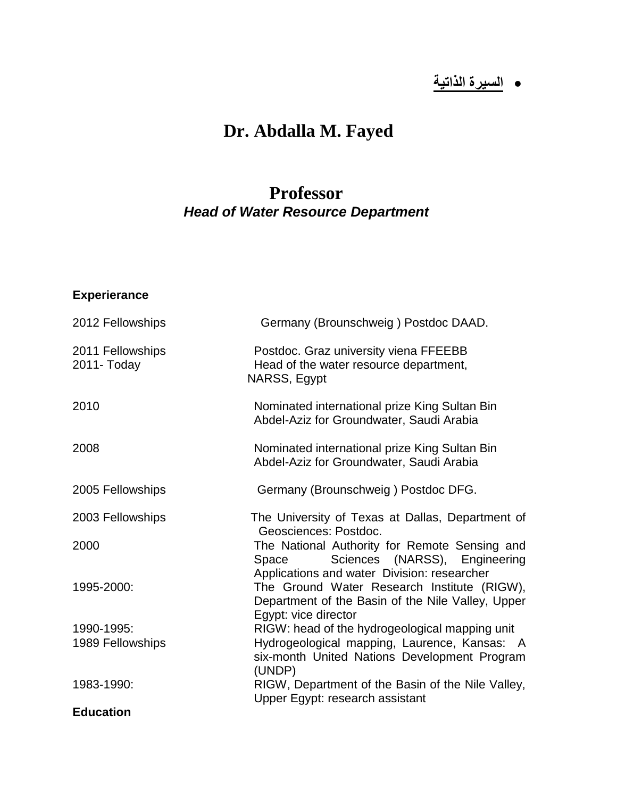# **السيرة الذاتية**

## **Dr. Abdalla M. Fayed**

### **Professor**  *Head of Water Resource Department*

#### **Experierance**

| 2012 Fellowships                | Germany (Brounschweig) Postdoc DAAD.                                                                                                   |
|---------------------------------|----------------------------------------------------------------------------------------------------------------------------------------|
| 2011 Fellowships<br>2011- Today | Postdoc. Graz university viena FFEEBB<br>Head of the water resource department,<br>NARSS, Egypt                                        |
| 2010                            | Nominated international prize King Sultan Bin<br>Abdel-Aziz for Groundwater, Saudi Arabia                                              |
| 2008                            | Nominated international prize King Sultan Bin<br>Abdel-Aziz for Groundwater, Saudi Arabia                                              |
| 2005 Fellowships                | Germany (Brounschweig) Postdoc DFG.                                                                                                    |
| 2003 Fellowships                | The University of Texas at Dallas, Department of<br>Geosciences: Postdoc.                                                              |
| 2000                            | The National Authority for Remote Sensing and<br>Sciences (NARSS), Engineering<br>Space<br>Applications and water Division: researcher |
| 1995-2000:                      | The Ground Water Research Institute (RIGW),<br>Department of the Basin of the Nile Valley, Upper<br>Egypt: vice director               |
| 1990-1995:                      | RIGW: head of the hydrogeological mapping unit                                                                                         |
| 1989 Fellowships                | Hydrogeological mapping, Laurence, Kansas: A<br>six-month United Nations Development Program<br>(UNDP)                                 |
| 1983-1990:                      | RIGW, Department of the Basin of the Nile Valley,<br>Upper Egypt: research assistant                                                   |
| <b>Education</b>                |                                                                                                                                        |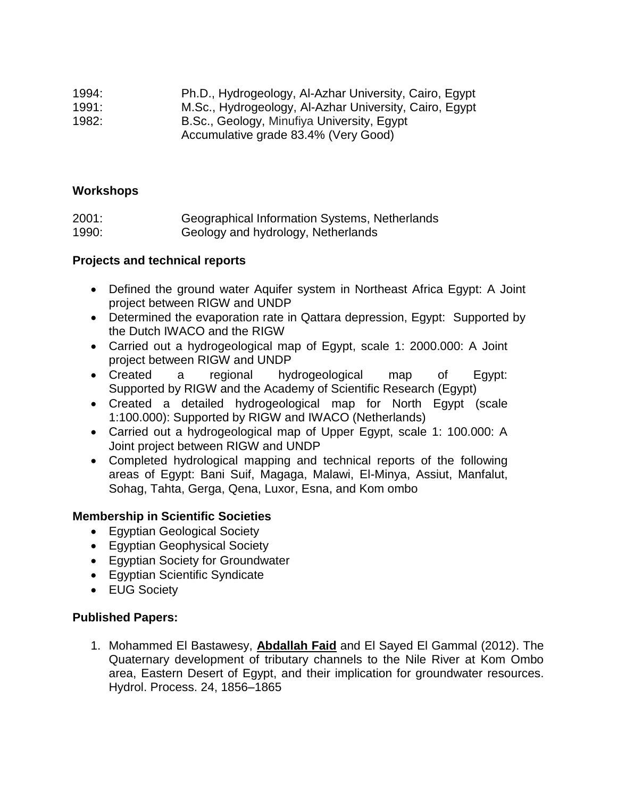| 1994: | Ph.D., Hydrogeology, Al-Azhar University, Cairo, Egypt |
|-------|--------------------------------------------------------|
| 1991: | M.Sc., Hydrogeology, Al-Azhar University, Cairo, Egypt |
| 1982: | B.Sc., Geology, Minufiya University, Egypt             |
|       | Accumulative grade 83.4% (Very Good)                   |

#### **Workshops**

| 2001: | Geographical Information Systems, Netherlands |
|-------|-----------------------------------------------|
| 1990: | Geology and hydrology, Netherlands            |

#### **Projects and technical reports**

- Defined the ground water Aquifer system in Northeast Africa Egypt: A Joint project between RIGW and UNDP
- Determined the evaporation rate in Qattara depression, Egypt: Supported by the Dutch IWACO and the RIGW
- Carried out a hydrogeological map of Egypt, scale 1: 2000.000: A Joint project between RIGW and UNDP
- Created a regional hydrogeological map of Egypt: Supported by RIGW and the Academy of Scientific Research (Egypt)
- Created a detailed hydrogeological map for North Egypt (scale 1:100.000): Supported by RIGW and IWACO (Netherlands)
- Carried out a hydrogeological map of Upper Egypt, scale 1: 100.000: A Joint project between RIGW and UNDP
- Completed hydrological mapping and technical reports of the following areas of Egypt: Bani Suif, Magaga, Malawi, El-Minya, Assiut, Manfalut, Sohag, Tahta, Gerga, Qena, Luxor, Esna, and Kom ombo

#### **Membership in Scientific Societies**

- Egyptian Geological Society
- Egyptian Geophysical Society
- Egyptian Society for Groundwater
- Egyptian Scientific Syndicate
- EUG Society

#### **Published Papers:**

1. Mohammed El Bastawesy, **Abdallah Faid** and El Sayed El Gammal (2012). The Quaternary development of tributary channels to the Nile River at Kom Ombo area, Eastern Desert of Egypt, and their implication for groundwater resources. Hydrol. Process. 24, 1856–1865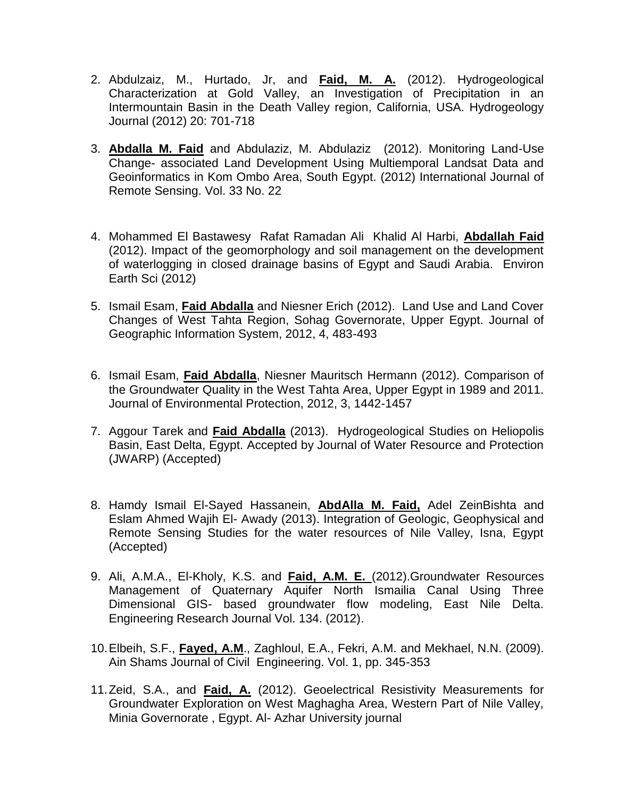- 2. Abdulzaiz, M., Hurtado, Jr, and **Faid, M. A.** (2012). Hydrogeological Characterization at Gold Valley, an Investigation of Precipitation in an Intermountain Basin in the Death Valley region, California, USA. Hydrogeology Journal (2012) 20: 701-718
- 3. **Abdalla M. Faid** and Abdulaziz, M. Abdulaziz (2012). Monitoring Land-Use Change- associated Land Development Using Multiemporal Landsat Data and Geoinformatics in Kom Ombo Area, South Egypt. (2012) International Journal of Remote Sensing. Vol. 33 No. 22
- 4. Mohammed El Bastawesy Rafat Ramadan Ali Khalid Al Harbi, **Abdallah Faid** (2012). Impact of the geomorphology and soil management on the development of waterlogging in closed drainage basins of Egypt and Saudi Arabia. Environ Earth Sci (2012)
- 5. Ismail Esam, **Faid Abdalla** and Niesner Erich (2012). Land Use and Land Cover Changes of West Tahta Region, Sohag Governorate, Upper Egypt. Journal of Geographic Information System, 2012, 4, 483-493
- 6. Ismail Esam, **Faid Abdalla**, Niesner Mauritsch Hermann (2012). Comparison of the Groundwater Quality in the West Tahta Area, Upper Egypt in 1989 and 2011. Journal of Environmental Protection, 2012, 3, 1442-1457
- 7. Aggour Tarek and **Faid Abdalla** (2013). Hydrogeological Studies on Heliopolis Basin, East Delta, Egypt. Accepted by Journal of Water Resource and Protection (JWARP) (Accepted)
- 8. Hamdy Ismail El-Sayed Hassanein, **AbdAlla M. Faid,** Adel ZeinBishta and Eslam Ahmed Wajih El- Awady (2013). Integration of Geologic, Geophysical and Remote Sensing Studies for the water resources of Nile Valley, Isna, Egypt (Accepted)
- 9. Ali, A.M.A., El-Kholy, K.S. and **Faid, A.M. E.** (2012).Groundwater Resources Management of Quaternary Aquifer North Ismailia Canal Using Three Dimensional GIS- based groundwater flow modeling, East Nile Delta. Engineering Research Journal Vol. 134. (2012).
- 10.Elbeih, S.F., **Fayed, A.M**., Zaghloul, E.A., Fekri, A.M. and Mekhael, N.N. (2009). Ain Shams Journal of Civil Engineering. Vol. 1, pp. 345-353
- 11.Zeid, S.A., and **Faid, A.** (2012). Geoelectrical Resistivity Measurements for Groundwater Exploration on West Maghagha Area, Western Part of Nile Valley, Minia Governorate , Egypt. Al- Azhar University journal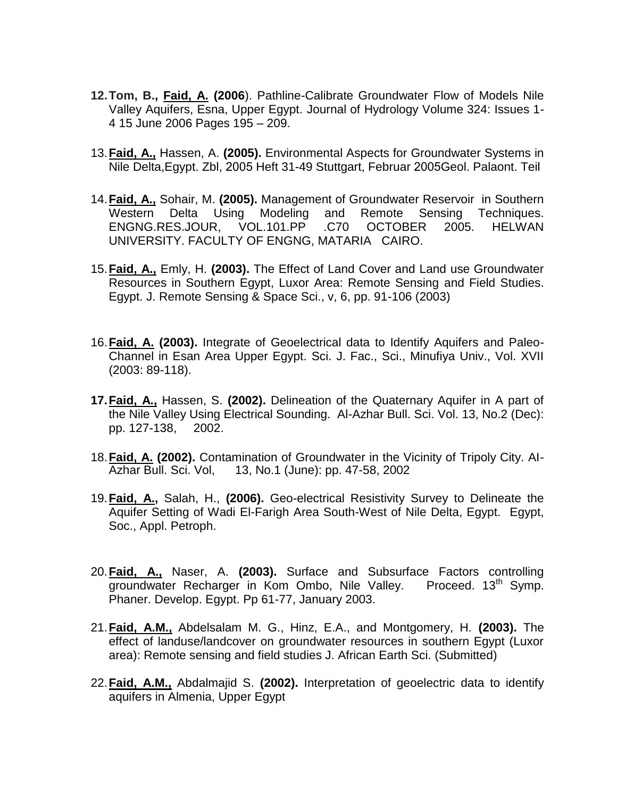- **12.Tom, B., Faid, A. (2006**). Pathline-Calibrate Groundwater Flow of Models Nile Valley Aquifers, Esna, Upper Egypt. Journal of Hydrology Volume 324: Issues 1- 4 15 June 2006 Pages 195 – 209.
- 13.**Faid, A.,** Hassen, A. **(2005).** Environmental Aspects for Groundwater Systems in Nile Delta, Egypt. Zbl, 2005 Heft 31-49 Stuttgart, Februar 2005Geol. Palaont. Teil
- 14.**Faid, A.,** Sohair, M. **(2005).** Management of Groundwater Reservoir in Southern Western Delta Using Modeling and Remote Sensing Techniques. ENGNG.RES.JOUR, VOL.101.PP .C70 OCTOBER 2005. HELWAN UNIVERSITY. FACULTY OF ENGNG, MATARIA CAIRO.
- 15.**Faid, A.,** Emly, H. **(2003).** The Effect of Land Cover and Land use Groundwater Resources in Southern Egypt, Luxor Area: Remote Sensing and Field Studies. Egypt. J. Remote Sensing & Space Sci., v, 6, pp. 91-106 (2003)
- 16.**Faid, A. (2003).** Integrate of Geoelectrical data to Identify Aquifers and Paleo-Channel in Esan Area Upper Egypt. Sci. J. Fac., Sci., Minufiya Univ., Vol. XVII (2003: 89-118).
- **17.Faid, A.,** Hassen, S. **(2002).** Delineation of the Quaternary Aquifer in A part of the Nile Valley Using Electrical Sounding. Al-Azhar Bull. Sci. Vol. 13, No.2 (Dec): pp. 127-138, 2002.
- 18.**Faid, A. (2002).** Contamination of Groundwater in the Vicinity of Tripoly City. AI-Azhar Bull. Sci. Vol, 13, No.1 (June): pp. 47-58, 2002
- 19.**Faid, A.,** Salah, H., **(2006).** Geo-electrical Resistivity Survey to Delineate the Aquifer Setting of Wadi El-Farigh Area South-West of Nile Delta, Egypt. Egypt, Soc., Appl. Petroph.
- 20.**Faid, A.,** Naser, A. **(2003).** Surface and Subsurface Factors controlling groundwater Recharger in Kom Ombo, Nile Valley. Proceed. 13<sup>th</sup> Symp. Phaner. Develop. Egypt. Pp 61-77, January 2003.
- 21.**Faid, A.M.,** Abdelsalam M. G., Hinz, E.A., and Montgomery, H. **(2003).** The effect of landuse/landcover on groundwater resources in southern Egypt (Luxor area): Remote sensing and field studies J. African Earth Sci. (Submitted)
- 22.**Faid, A.M.,** Abdalmajid S. **(2002).** Interpretation of geoelectric data to identify aquifers in Almenia, Upper Egypt